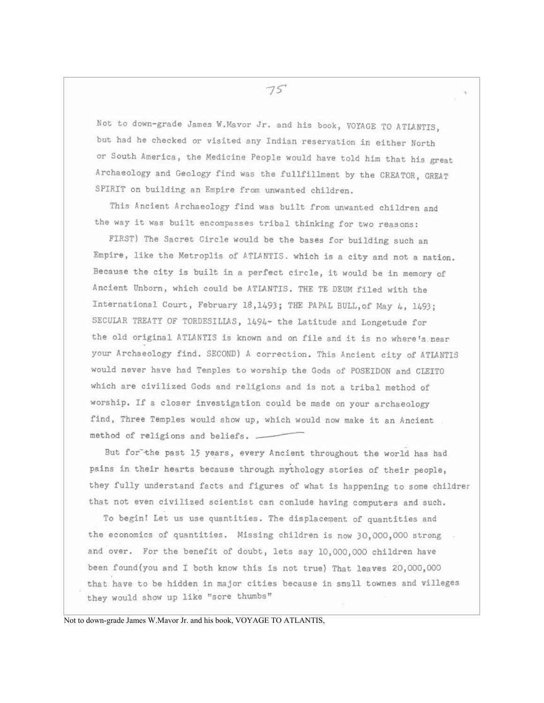Not to down-grade James W. Mavor Jr. and his book, VOYAGE TO ATLANTIS, but had he checked or visited any Indian reservation in either North or South America, the Medicine People would have told him that his great Archaeology and Geology find was the fullfillment by the CREATOR, GREAT SPIRIT on building an Empire from unwanted children.

This Ancient Archaeology find was built from unwanted children and the way it was built encompasses tribal thinking for two reasons:

FIRST) The Sacret Circle would be the bases for building such an Empire, like the Metroplis of ATLANTIS. which is a city and not a nation. Because the city is built in a perfect circle, it would be in memory of Ancient Unborn, which could be ATIANTIS. THE TE DEUM filed with the International Court, February 18,1493; THE PAPAL BULL.of May 4, 1493; SECULAR TREATY OF TORDESILLAS, 1494- the Latitude and Longetude for the old original ATLANTIS is known and on file and it is no where's near your Archaeology find. SECOND) A correction. This Ancient city of ATIANTIS would never have had Temples to worship the Gods of POSEIDON and CLEITO which are civilized Gods and religions and is not a tribal method of worship. If a closer investigation could be made on your archaeology find, Three Temples would show up, which would now make it an Ancient method of religions and beliefs. -

But for the past 15 years, every Ancient throughout the world has had pains in their hearts because through mythology stories of their people, they fully understand facts and figures of what is happening to some childrer that not even civilized scientist can conlude having computers and such.

To begin! Let us use quantities. The displacement of quantities and the economics of quantities. Missing children is now 30,000,000 strong and over. For the benefit of doubt, lets say 10,000,000 children have been found (you and I both know this is not true) That leaves 20,000,000 that have to be hidden in major cities because in small townes and villeges they would show up like "sore thumbs"

Not to down-grade James W.Mavor Jr. and his book, VOYAGE TO ATLANTIS,

 $75$